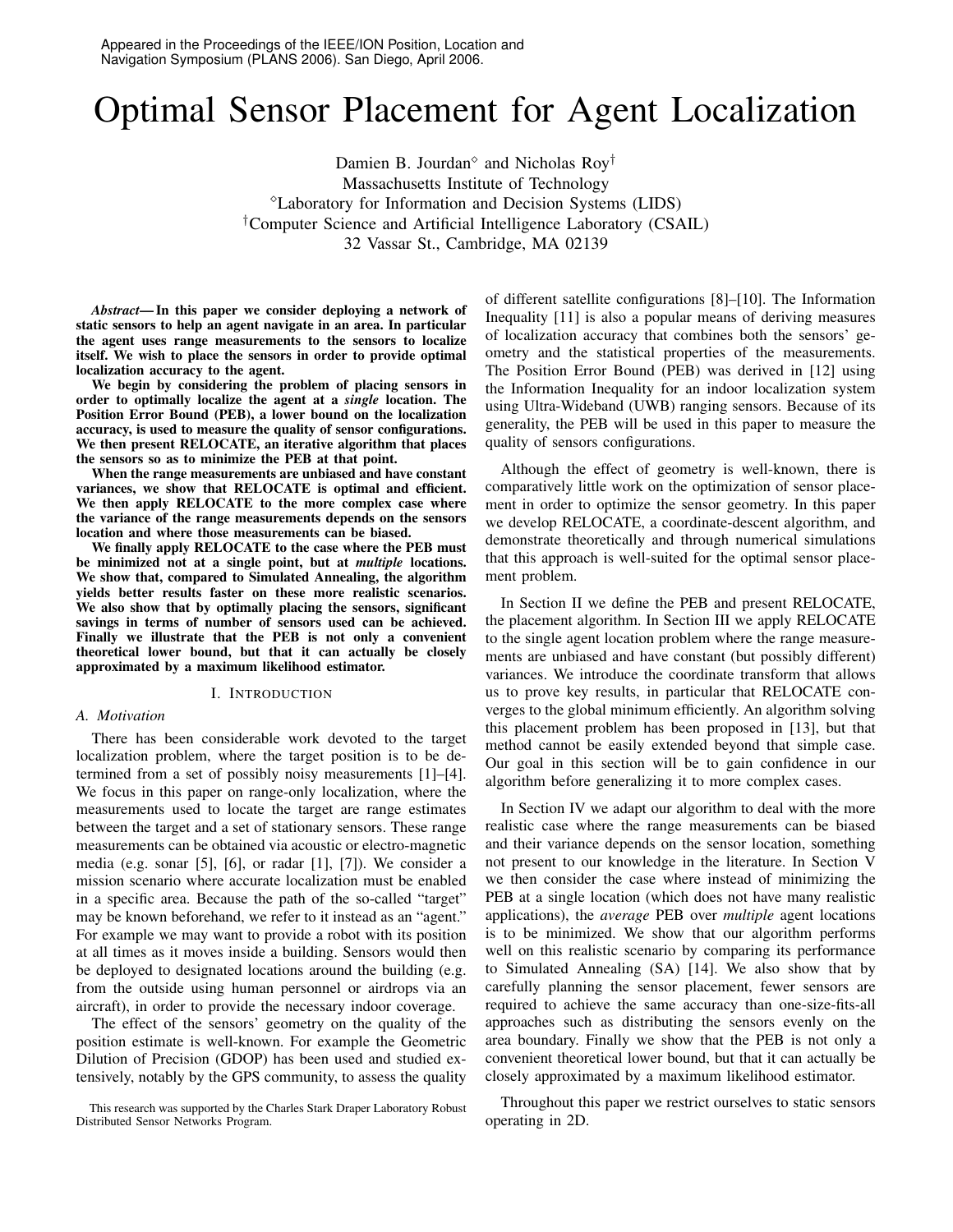# Optimal Sensor Placement for Agent Localization

Damien B. Jourdan<sup> $\circ$ </sup> and Nicholas Roy<sup>†</sup> Massachusetts Institute of Technology Laboratory for Information and Decision Systems (LIDS) †Computer Science and Artificial Intelligence Laboratory (CSAIL) 32 Vassar St., Cambridge, MA 02139

*Abstract***—In this paper we consider deploying a network of static sensors to help an agent navigate in an area. In particular the agent uses range measurements to the sensors to localize itself. We wish to place the sensors in order to provide optimal localization accuracy to the agent.**

**We begin by considering the problem of placing sensors in order to optimally localize the agent at a** *single* **location. The Position Error Bound (PEB), a lower bound on the localization accuracy, is used to measure the quality of sensor configurations. We then present RELOCATE, an iterative algorithm that places the sensors so as to minimize the PEB at that point.**

**When the range measurements are unbiased and have constant variances, we show that RELOCATE is optimal and efficient. We then apply RELOCATE to the more complex case where the variance of the range measurements depends on the sensors location and where those measurements can be biased.**

**We finally apply RELOCATE to the case where the PEB must be minimized not at a single point, but at** *multiple* **locations. We show that, compared to Simulated Annealing, the algorithm yields better results faster on these more realistic scenarios. We also show that by optimally placing the sensors, significant savings in terms of number of sensors used can be achieved. Finally we illustrate that the PEB is not only a convenient theoretical lower bound, but that it can actually be closely approximated by a maximum likelihood estimator.**

### I. INTRODUCTION

# *A. Motivation*

There has been considerable work devoted to the target localization problem, where the target position is to be determined from a set of possibly noisy measurements [1]–[4]. We focus in this paper on range-only localization, where the measurements used to locate the target are range estimates between the target and a set of stationary sensors. These range measurements can be obtained via acoustic or electro-magnetic media (e.g. sonar [5], [6], or radar [1], [7]). We consider a mission scenario where accurate localization must be enabled in a specific area. Because the path of the so-called "target" may be known beforehand, we refer to it instead as an "agent." For example we may want to provide a robot with its position at all times as it moves inside a building. Sensors would then be deployed to designated locations around the building (e.g. from the outside using human personnel or airdrops via an aircraft), in order to provide the necessary indoor coverage.

The effect of the sensors' geometry on the quality of the position estimate is well-known. For example the Geometric Dilution of Precision (GDOP) has been used and studied extensively, notably by the GPS community, to assess the quality

This research was supported by the Charles Stark Draper Laboratory Robust Distributed Sensor Networks Program.

of different satellite configurations [8]–[10]. The Information Inequality [11] is also a popular means of deriving measures of localization accuracy that combines both the sensors' geometry and the statistical properties of the measurements. The Position Error Bound (PEB) was derived in [12] using the Information Inequality for an indoor localization system using Ultra-Wideband (UWB) ranging sensors. Because of its generality, the PEB will be used in this paper to measure the quality of sensors configurations.

Although the effect of geometry is well-known, there is comparatively little work on the optimization of sensor placement in order to optimize the sensor geometry. In this paper we develop RELOCATE, a coordinate-descent algorithm, and demonstrate theoretically and through numerical simulations that this approach is well-suited for the optimal sensor placement problem.

In Section II we define the PEB and present RELOCATE, the placement algorithm. In Section III we apply RELOCATE to the single agent location problem where the range measurements are unbiased and have constant (but possibly different) variances. We introduce the coordinate transform that allows us to prove key results, in particular that RELOCATE converges to the global minimum efficiently. An algorithm solving this placement problem has been proposed in [13], but that method cannot be easily extended beyond that simple case. Our goal in this section will be to gain confidence in our algorithm before generalizing it to more complex cases.

In Section IV we adapt our algorithm to deal with the more realistic case where the range measurements can be biased and their variance depends on the sensor location, something not present to our knowledge in the literature. In Section V we then consider the case where instead of minimizing the PEB at a single location (which does not have many realistic applications), the *average* PEB over *multiple* agent locations is to be minimized. We show that our algorithm performs well on this realistic scenario by comparing its performance to Simulated Annealing (SA) [14]. We also show that by carefully planning the sensor placement, fewer sensors are required to achieve the same accuracy than one-size-fits-all approaches such as distributing the sensors evenly on the area boundary. Finally we show that the PEB is not only a convenient theoretical lower bound, but that it can actually be closely approximated by a maximum likelihood estimator.

Throughout this paper we restrict ourselves to static sensors operating in 2D.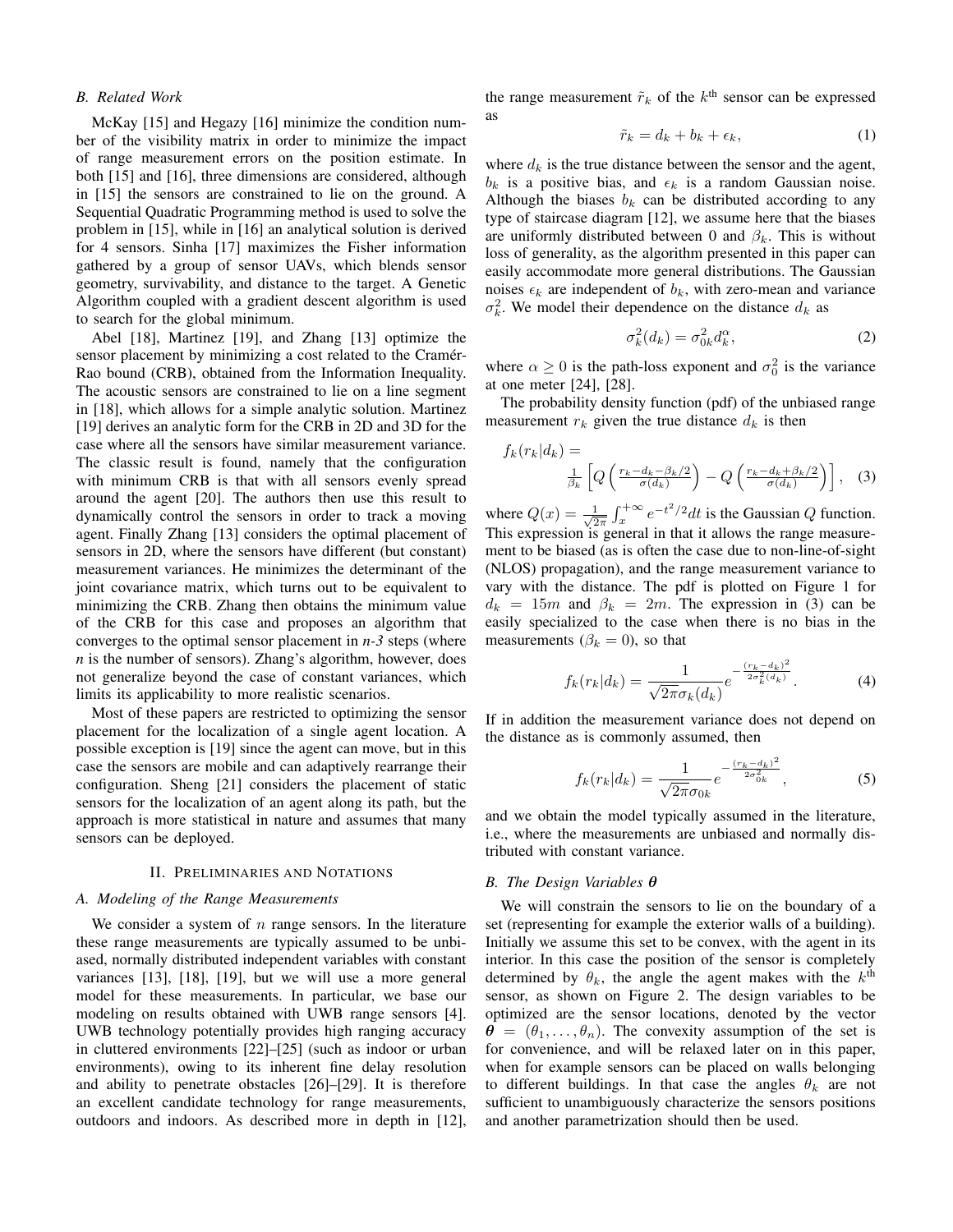## *B. Related Work*

McKay [15] and Hegazy [16] minimize the condition number of the visibility matrix in order to minimize the impact of range measurement errors on the position estimate. In both [15] and [16], three dimensions are considered, although in [15] the sensors are constrained to lie on the ground. A Sequential Quadratic Programming method is used to solve the problem in [15], while in [16] an analytical solution is derived for 4 sensors. Sinha [17] maximizes the Fisher information gathered by a group of sensor UAVs, which blends sensor geometry, survivability, and distance to the target. A Genetic Algorithm coupled with a gradient descent algorithm is used to search for the global minimum.

Abel [18], Martinez [19], and Zhang [13] optimize the sensor placement by minimizing a cost related to the Cramér-Rao bound (CRB), obtained from the Information Inequality. The acoustic sensors are constrained to lie on a line segment in [18], which allows for a simple analytic solution. Martinez [19] derives an analytic form for the CRB in 2D and 3D for the case where all the sensors have similar measurement variance. The classic result is found, namely that the configuration with minimum CRB is that with all sensors evenly spread around the agent [20]. The authors then use this result to dynamically control the sensors in order to track a moving agent. Finally Zhang [13] considers the optimal placement of sensors in 2D, where the sensors have different (but constant) measurement variances. He minimizes the determinant of the joint covariance matrix, which turns out to be equivalent to minimizing the CRB. Zhang then obtains the minimum value of the CRB for this case and proposes an algorithm that converges to the optimal sensor placement in *n-3* steps (where *n* is the number of sensors). Zhang's algorithm, however, does not generalize beyond the case of constant variances, which limits its applicability to more realistic scenarios.

Most of these papers are restricted to optimizing the sensor placement for the localization of a single agent location. A possible exception is [19] since the agent can move, but in this case the sensors are mobile and can adaptively rearrange their configuration. Sheng [21] considers the placement of static sensors for the localization of an agent along its path, but the approach is more statistical in nature and assumes that many sensors can be deployed.

## II. PRELIMINARIES AND NOTATIONS

# *A. Modeling of the Range Measurements*

We consider a system of  $n$  range sensors. In the literature these range measurements are typically assumed to be unbiased, normally distributed independent variables with constant variances [13], [18], [19], but we will use a more general model for these measurements. In particular, we base our modeling on results obtained with UWB range sensors [4]. UWB technology potentially provides high ranging accuracy in cluttered environments [22]–[25] (such as indoor or urban environments), owing to its inherent fine delay resolution and ability to penetrate obstacles [26]–[29]. It is therefore an excellent candidate technology for range measurements, outdoors and indoors. As described more in depth in [12],

the range measurement  $\tilde{r}_k$  of the  $k^{\text{th}}$  sensor can be expressed as

$$
\tilde{r}_k = d_k + b_k + \epsilon_k,\tag{1}
$$

where  $d_k$  is the true distance between the sensor and the agent,  $b_k$  is a positive bias, and  $\epsilon_k$  is a random Gaussian noise. Although the biases  $b_k$  can be distributed according to any type of staircase diagram [12], we assume here that the biases are uniformly distributed between 0 and  $\beta_k$ . This is without loss of generality, as the algorithm presented in this paper can easily accommodate more general distributions. The Gaussian noises  $\epsilon_k$  are independent of  $b_k$ , with zero-mean and variance  $\sigma_k^2$ . We model their dependence on the distance  $d_k$  as

$$
\sigma_k^2(d_k) = \sigma_{0k}^2 d_k^{\alpha},\tag{2}
$$

where  $\alpha \ge 0$  is the path-loss exponent and  $\sigma_0^2$  is the variance at one meter [24], [28].

The probability density function (pdf) of the unbiased range measurement  $r_k$  given the true distance  $d_k$  is then

$$
f_k(r_k|d_k) = \frac{1}{\beta_k} \left[ Q\left(\frac{r_k - d_k - \beta_k/2}{\sigma(d_k)}\right) - Q\left(\frac{r_k - d_k + \beta_k/2}{\sigma(d_k)}\right) \right], \quad (3)
$$

where  $Q(x) = \frac{1}{\sqrt{2}}$  $\frac{1}{2\pi} \int_x^{+\infty} e^{-t^2/2} dt$  is the Gaussian Q function. This expression is general in that it allows the range measurement to be biased (as is often the case due to non-line-of-sight (NLOS) propagation), and the range measurement variance to vary with the distance. The pdf is plotted on Figure 1 for  $d_k = 15m$  and  $\beta_k = 2m$ . The expression in (3) can be easily specialized to the case when there is no bias in the measurements ( $\beta_k = 0$ ), so that

$$
f_k(r_k|d_k) = \frac{1}{\sqrt{2\pi}\sigma_k(d_k)}e^{-\frac{(r_k - d_k)^2}{2\sigma_k^2(d_k)}}.
$$
 (4)

If in addition the measurement variance does not depend on the distance as is commonly assumed, then

$$
f_k(r_k|d_k) = \frac{1}{\sqrt{2\pi}\sigma_{0k}} e^{-\frac{(r_k - d_k)^2}{2\sigma_{0k}^2}},
$$
 (5)

and we obtain the model typically assumed in the literature, i.e., where the measurements are unbiased and normally distributed with constant variance.

#### *B. The Design Variables* θ

We will constrain the sensors to lie on the boundary of a set (representing for example the exterior walls of a building). Initially we assume this set to be convex, with the agent in its interior. In this case the position of the sensor is completely determined by  $\theta_k$ , the angle the agent makes with the  $k^{\text{th}}$ sensor, as shown on Figure 2. The design variables to be optimized are the sensor locations, denoted by the vector  $\theta = (\theta_1, \dots, \theta_n)$ . The convexity assumption of the set is for convenience, and will be relaxed later on in this paper, when for example sensors can be placed on walls belonging to different buildings. In that case the angles  $\theta_k$  are not sufficient to unambiguously characterize the sensors positions and another parametrization should then be used.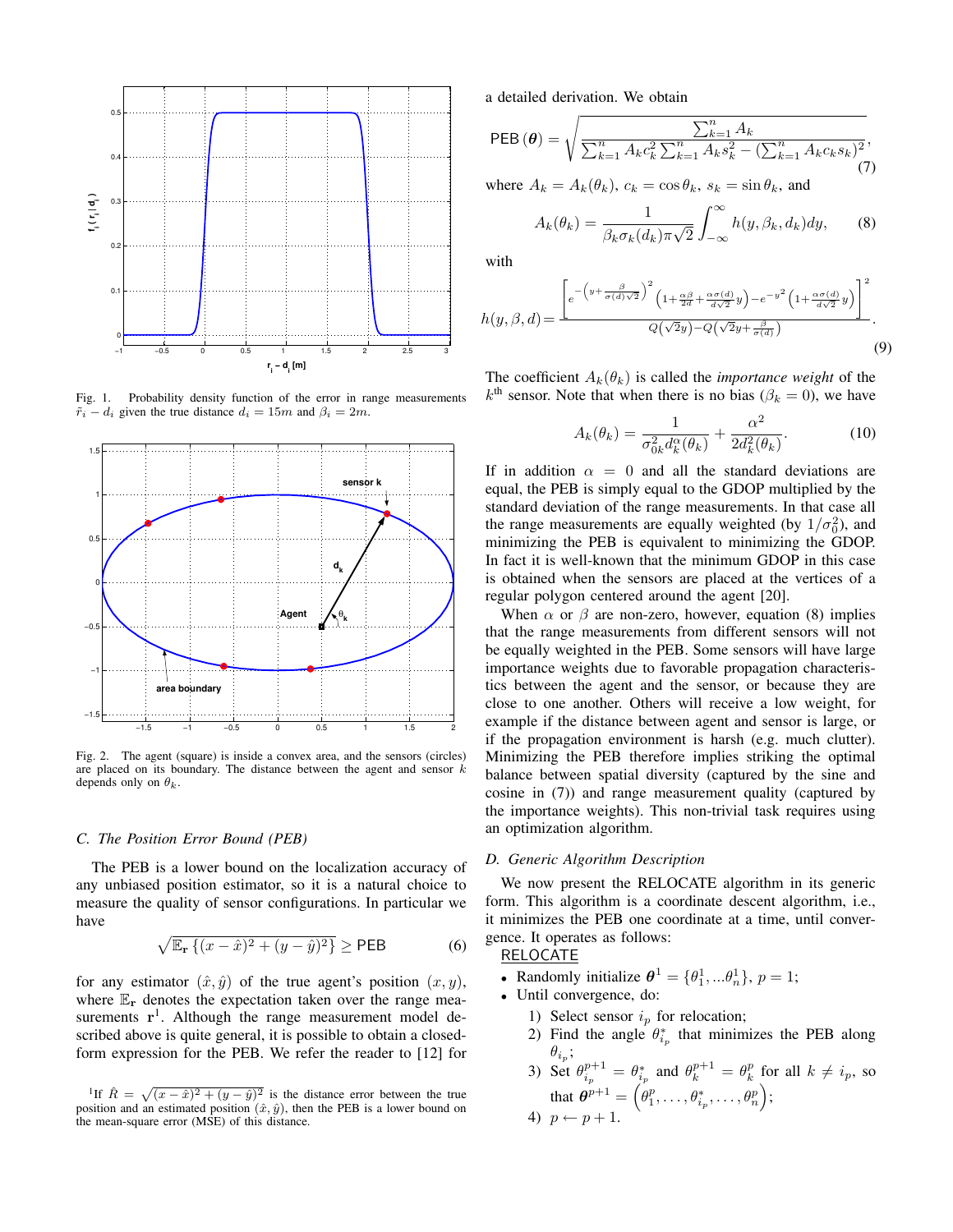

Fig. 1. Probability density function of the error in range measurements  $\tilde{r}_i - d_i$  given the true distance  $d_i = 15m$  and  $\beta_i = 2m$ .



Fig. 2. The agent (square) is inside a convex area, and the sensors (circles) are placed on its boundary. The distance between the agent and sensor  $k$ depends only on  $\theta_k$ .

## *C. The Position Error Bound (PEB)*

The PEB is a lower bound on the localization accuracy of any unbiased position estimator, so it is a natural choice to measure the quality of sensor configurations. In particular we have

$$
\sqrt{\mathbb{E}_{\mathbf{r}}\left\{(x-\hat{x})^2 + (y-\hat{y})^2\right\}} \ge \text{PEB}
$$
 (6)

for any estimator  $(\hat{x}, \hat{y})$  of the true agent's position  $(x, y)$ , where  $\mathbb{E}_{r}$  denotes the expectation taken over the range measurements  $\mathbf{r}^1$ . Although the range measurement model described above is quite general, it is possible to obtain a closedform expression for the PEB. We refer the reader to [12] for a detailed derivation. We obtain

PEB 
$$
(\theta)
$$
 =  $\sqrt{\frac{\sum_{k=1}^{n} A_k}{\sum_{k=1}^{n} A_k c_k^2 \sum_{k=1}^{n} A_k s_k^2 - (\sum_{k=1}^{n} A_k c_k s_k)^2}}$ , (7)

where  $A_k = A_k(\theta_k)$ ,  $c_k = \cos \theta_k$ ,  $s_k = \sin \theta_k$ , and

$$
A_k(\theta_k) = \frac{1}{\beta_k \sigma_k(d_k) \pi \sqrt{2}} \int_{-\infty}^{\infty} h(y, \beta_k, d_k) dy, \qquad (8)
$$

with

$$
h(y,\beta,d) = \frac{\left[e^{-\left(y + \frac{\beta}{\sigma(d)}\sqrt{2}\right)^2} \left(1 + \frac{\alpha\beta}{2d} + \frac{\alpha\sigma(d)}{d\sqrt{2}}y\right) - e^{-y^2} \left(1 + \frac{\alpha\sigma(d)}{d\sqrt{2}}y\right)\right]^2}{Q(\sqrt{2}y) - Q(\sqrt{2}y + \frac{\beta}{\sigma(d)})}.
$$
\n(9)

The coefficient  $A_k(\theta_k)$  is called the *importance* weight of the  $k<sup>th</sup>$  sensor. Note that when there is no bias ( $\beta_k = 0$ ), we have

$$
A_k(\theta_k) = \frac{1}{\sigma_{0k}^2 d_k^{\alpha}(\theta_k)} + \frac{\alpha^2}{2d_k^2(\theta_k)}.
$$
 (10)

If in addition  $\alpha = 0$  and all the standard deviations are equal, the PEB is simply equal to the GDOP multiplied by the standard deviation of the range measurements. In that case all the range measurements are equally weighted (by  $1/\sigma_0^2$ ), and minimizing the PEB is equivalent to minimizing the GDOP. In fact it is well-known that the minimum GDOP in this case is obtained when the sensors are placed at the vertices of a regular polygon centered around the agent [20].

When  $\alpha$  or  $\beta$  are non-zero, however, equation (8) implies that the range measurements from different sensors will not be equally weighted in the PEB. Some sensors will have large importance weights due to favorable propagation characteristics between the agent and the sensor, or because they are close to one another. Others will receive a low weight, for example if the distance between agent and sensor is large, or if the propagation environment is harsh (e.g. much clutter). Minimizing the PEB therefore implies striking the optimal balance between spatial diversity (captured by the sine and cosine in (7)) and range measurement quality (captured by the importance weights). This non-trivial task requires using an optimization algorithm.

#### *D. Generic Algorithm Description*

We now present the RELOCATE algorithm in its generic form. This algorithm is a coordinate descent algorithm, i.e., it minimizes the PEB one coordinate at a time, until convergence. It operates as follows:

## RELOCATE

- Randomly initialize  $\boldsymbol{\theta}^1 = {\theta_1^1, \dots \theta_n^1}$ ,  $p = 1$ ;
- Until convergence, do:
	- 1) Select sensor  $i_p$  for relocation;
		- 2) Find the angle  $\theta_{i_p}^*$  that minimizes the PEB along  $\theta_{i_p};$
	- 3) Set  $\theta_{i_p}^{p+1} = \theta_{i_p}^*$  and  $\theta_k^{p+1} = \theta_k^p$  for all  $k \neq i_p$ , so that  $\boldsymbol{\theta}^{p+1} = \left(\theta^{p}_{1}, \ldots, \theta^{*}_{i_{p}}, \ldots, \theta^{p}_{n}\right);$
	- 4)  $p \leftarrow p + 1$ .

<sup>&</sup>lt;sup>1</sup>If  $\hat{R} = \sqrt{(x-\hat{x})^2 + (y-\hat{y})^2}$  is the distance error between the true position and an estimated position  $(\hat{x}, \hat{y})$ , then the PEB is a lower bound on the mean-square error (MSE) of this distance.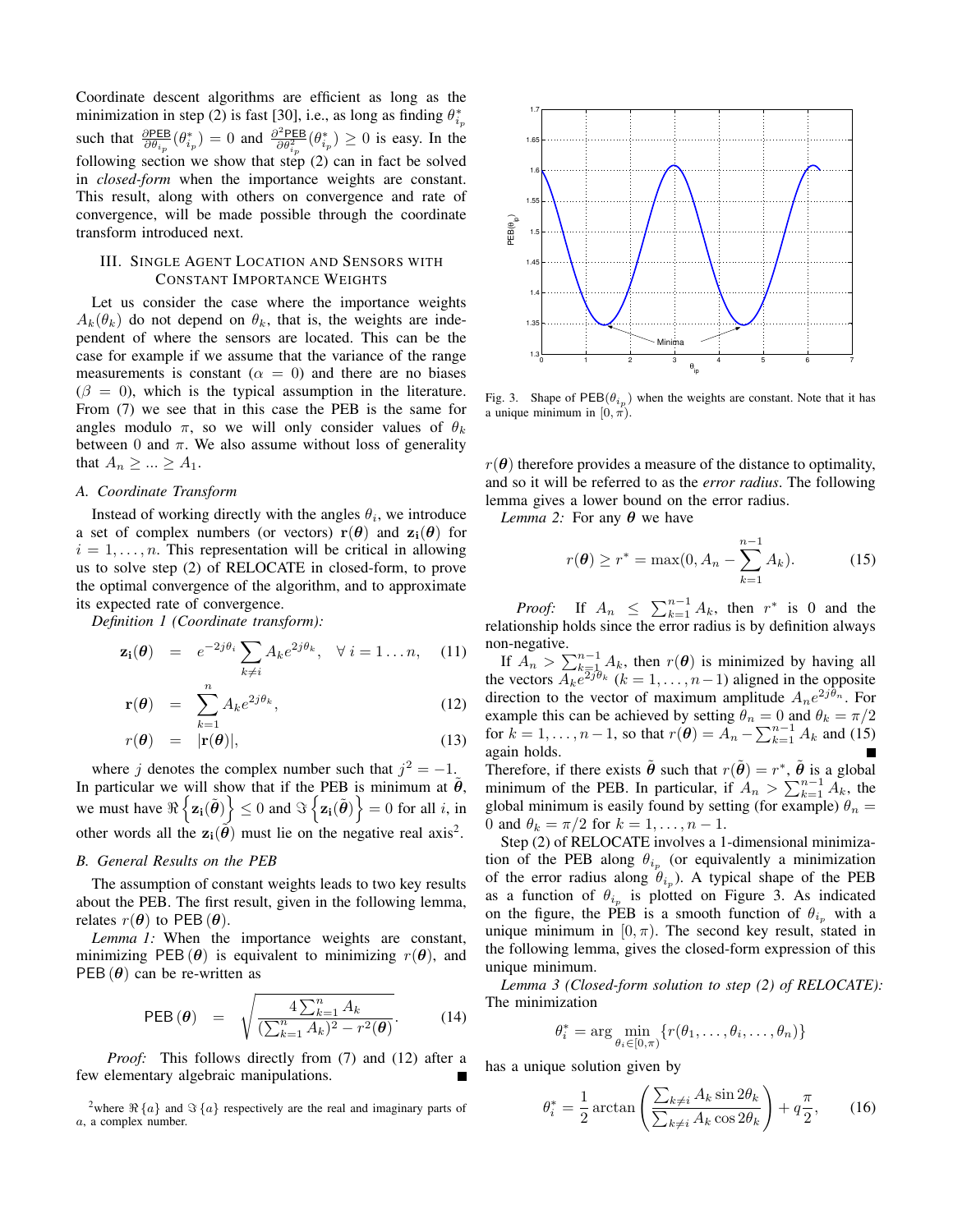Coordinate descent algorithms are efficient as long as the minimization in step (2) is fast [30], i.e., as long as finding  $\theta_{i_p}^*$ such that  $\frac{\partial PEB}{\partial \theta_{i_p}}(\theta_{i_p}^*)=0$  and  $\frac{\partial^2 PEB}{\partial \theta_{i_p}^2}$  $\frac{\partial^2 PEB}{\partial \theta_{ip}^2}(\theta_{ip}^*) \ge 0$  is easy. In the following section we show that step  $(2)$  can in fact be solved in *closed-form* when the importance weights are constant. This result, along with others on convergence and rate of convergence, will be made possible through the coordinate transform introduced next.

## III. SINGLE AGENT LOCATION AND SENSORS WITH CONSTANT IMPORTANCE WEIGHTS

Let us consider the case where the importance weights  $A_k(\theta_k)$  do not depend on  $\theta_k$ , that is, the weights are independent of where the sensors are located. This can be the case for example if we assume that the variance of the range measurements is constant ( $\alpha = 0$ ) and there are no biases  $(\beta = 0)$ , which is the typical assumption in the literature. From (7) we see that in this case the PEB is the same for angles modulo  $\pi$ , so we will only consider values of  $\theta_k$ between 0 and  $\pi$ . We also assume without loss of generality that  $A_n \geq ... \geq A_1$ .

#### *A. Coordinate Transform*

Instead of working directly with the angles  $\theta_i$ , we introduce a set of complex numbers (or vectors)  $r(\theta)$  and  $z_i(\theta)$  for  $i = 1, \ldots, n$ . This representation will be critical in allowing us to solve step (2) of RELOCATE in closed-form, to prove the optimal convergence of the algorithm, and to approximate its expected rate of convergence.

*Definition 1 (Coordinate transform):*

$$
\mathbf{z_i}(\boldsymbol{\theta}) = e^{-2j\theta_i} \sum_{k \neq i} A_k e^{2j\theta_k}, \quad \forall i = 1...n, \quad (11)
$$

$$
\mathbf{r}(\boldsymbol{\theta}) = \sum_{k=1}^{n} A_k e^{2j\theta_k}, \qquad (12)
$$

$$
r(\boldsymbol{\theta}) = |\mathbf{r}(\boldsymbol{\theta})|, \tag{13}
$$

where j denotes the complex number such that  $j^2 = -1$ . In particular we will show that if the PEB is minimum at  $\tilde{\theta}$ , we must have  $\Re\left\{\mathbf{z_i}(\tilde{\boldsymbol{\theta}})\right\} \leq 0$  and  $\Im\left\{\mathbf{z_i}(\tilde{\boldsymbol{\theta}})\right\} = 0$  for all *i*, in other words all the  $z_i(\tilde{\theta})$  must lie on the negative real axis<sup>2</sup>.

#### *B. General Results on the PEB*

The assumption of constant weights leads to two key results about the PEB. The first result, given in the following lemma, relates  $r(\theta)$  to PEB  $(\theta)$ .

*Lemma 1:* When the importance weights are constant, minimizing PEB( $\theta$ ) is equivalent to minimizing  $r(\theta)$ , and PEB  $(\theta)$  can be re-written as

PEB 
$$
(\theta)
$$
 =  $\sqrt{\frac{4\sum_{k=1}^{n} A_k}{(\sum_{k=1}^{n} A_k)^2 - r^2(\theta)}}$ . (14)

*Proof:* This follows directly from (7) and (12) after a few elementary algebraic manipulations.

<sup>2</sup>where  $\Re\{a\}$  and  $\Im\{a\}$  respectively are the real and imaginary parts of a, a complex number.



Fig. 3. Shape of  $PEB(\theta_{i_p})$  when the weights are constant. Note that it has a unique minimum in  $[0, \pi)$ .

 $r(\theta)$  therefore provides a measure of the distance to optimality, and so it will be referred to as the *error radius*. The following lemma gives a lower bound on the error radius.

*Lemma* 2: For any  $\theta$  we have

$$
r(\theta) \ge r^* = \max(0, A_n - \sum_{k=1}^{n-1} A_k). \tag{15}
$$

*Proof:* If  $A_n \leq \sum_{k=1}^{n-1} A_k$ , then  $r^*$  is 0 and the relationship holds since the error radius is by definition always non-negative.

If  $A_n > \sum_{k=1}^{n-1} A_k$ , then  $r(\theta)$  is minimized by having all the vectors  $A_k e^{2j\theta_k}$   $(k = 1, \ldots, n-1)$  aligned in the opposite direction to the vector of maximum amplitude  $A_n e^{2j\theta_n}$ . For example this can be achieved by setting  $\theta_n = 0$  and  $\theta_k = \pi/2$ for  $k = 1, ..., n - 1$ , so that  $r(\theta) = A_n - \sum_{k=1}^{n-1} A_k$  and (15) again holds.

Therefore, if there exists  $\tilde{\theta}$  such that  $r(\tilde{\theta}) = r^*$ ,  $\tilde{\theta}$  is a global minimum of the PEB. In particular, if  $A_n > \sum_{k=1}^{n-1} A_k$ , the global minimum is easily found by setting (for example)  $\theta_n =$ 0 and  $\theta_k = \pi/2$  for  $k = 1, \ldots, n-1$ .

Step (2) of RELOCATE involves a 1-dimensional minimization of the PEB along  $\theta_{i_p}$  (or equivalently a minimization of the error radius along  $\theta_{i_p}$ ). A typical shape of the PEB as a function of  $\theta_{i_p}$  is plotted on Figure 3. As indicated on the figure, the PEB is a smooth function of  $\theta_{i_p}$  with a unique minimum in  $[0, \pi)$ . The second key result, stated in the following lemma, gives the closed-form expression of this unique minimum.

*Lemma 3 (Closed-form solution to step (2) of RELOCATE):* The minimization

$$
\theta_i^* = \arg\min_{\theta_i \in [0,\pi)} \{r(\theta_1,\ldots,\theta_i,\ldots,\theta_n)\}
$$

has a unique solution given by

$$
\theta_i^* = \frac{1}{2} \arctan\left(\frac{\sum_{k \neq i} A_k \sin 2\theta_k}{\sum_{k \neq i} A_k \cos 2\theta_k}\right) + q \frac{\pi}{2},\qquad(16)
$$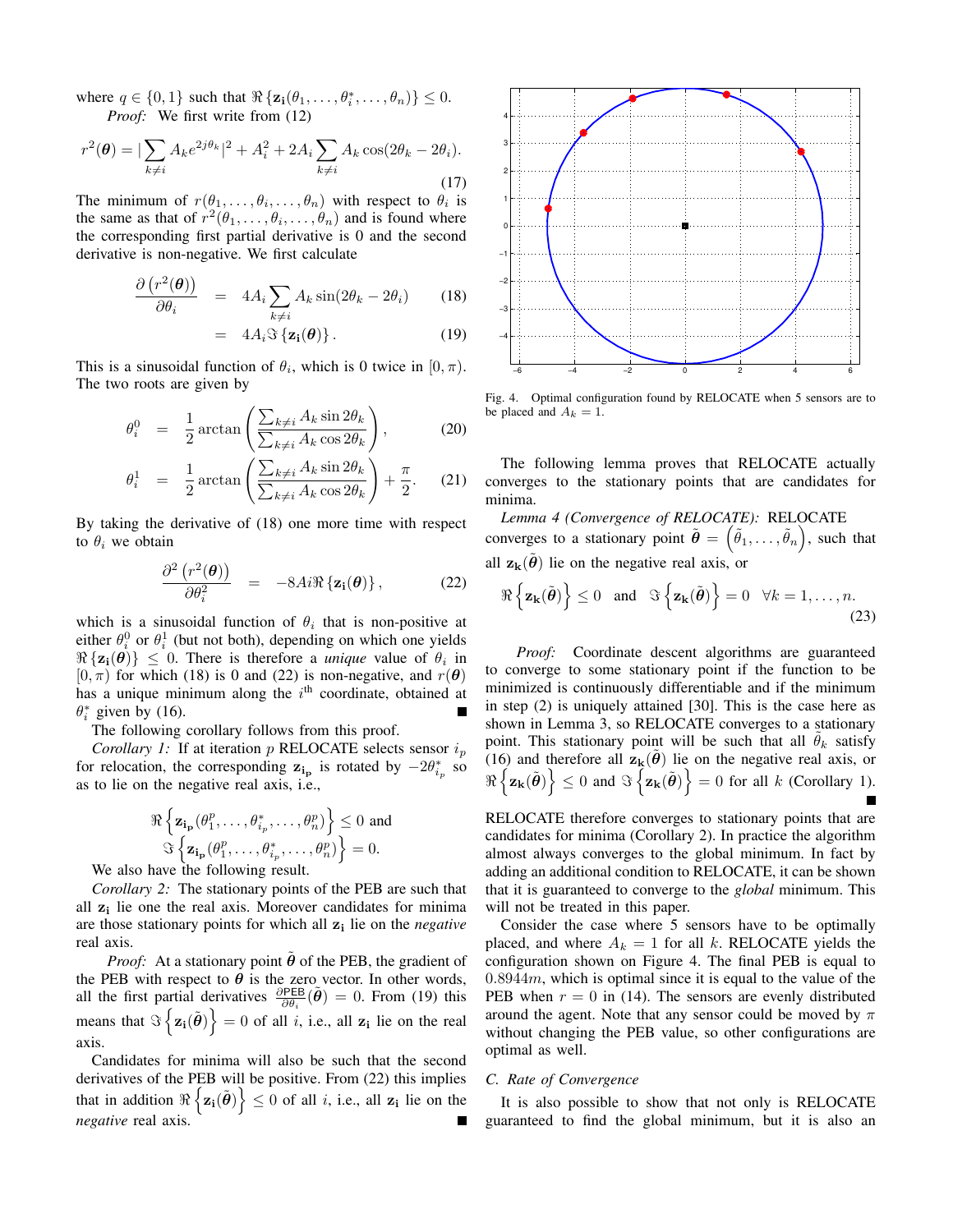where  $q \in \{0, 1\}$  such that  $\Re\{\mathbf{z_i}(\theta_1, \dots, \theta_i^*, \dots, \theta_n)\} \leq 0$ . *Proof:* We first write from (12)

$$
r^{2}(\theta) = |\sum_{k \neq i} A_{k} e^{2j\theta_{k}}|^{2} + A_{i}^{2} + 2A_{i} \sum_{k \neq i} A_{k} \cos(2\theta_{k} - 2\theta_{i}).
$$
\n(17)

The minimum of  $r(\theta_1, \ldots, \theta_i, \ldots, \theta_n)$  with respect to  $\theta_i$  is the same as that of  $r^2(\theta_1,\ldots,\theta_i,\ldots,\theta_n)$  and is found where the corresponding first partial derivative is 0 and the second derivative is non-negative. We first calculate

$$
\frac{\partial (r^2(\theta))}{\partial \theta_i} = 4A_i \sum_{k \neq i} A_k \sin(2\theta_k - 2\theta_i) \qquad (18)
$$

$$
= 4A_i \Im \{ \mathbf{z_i}(\boldsymbol{\theta}) \}.
$$
 (19)

This is a sinusoidal function of  $\theta_i$ , which is 0 twice in  $[0, \pi)$ . The two roots are given by

$$
\theta_i^0 = \frac{1}{2} \arctan\left(\frac{\sum_{k \neq i} A_k \sin 2\theta_k}{\sum_{k \neq i} A_k \cos 2\theta_k}\right),\tag{20}
$$

$$
\theta_i^1 = \frac{1}{2} \arctan\left(\frac{\sum_{k \neq i} A_k \sin 2\theta_k}{\sum_{k \neq i} A_k \cos 2\theta_k}\right) + \frac{\pi}{2}.
$$
 (21)

By taking the derivative of (18) one more time with respect to  $\theta_i$  we obtain

$$
\frac{\partial^2 (r^2(\boldsymbol{\theta}))}{\partial \theta_i^2} = -8Ai \Re{\{\mathbf{z_i}(\boldsymbol{\theta})\}},
$$
 (22)

which is a sinusoidal function of  $\theta_i$  that is non-positive at either  $\theta_i^0$  or  $\theta_i^1$  (but not both), depending on which one yields  $\Re{\{\mathbf{z}_i(\boldsymbol{\theta})\}} \leq 0$ . There is therefore a *unique* value of  $\theta_i$  in  $[0, \pi)$  for which (18) is 0 and (22) is non-negative, and  $r(\theta)$ has a unique minimum along the  $i<sup>th</sup>$  coordinate, obtained at  $\theta_i^*$  given by (16).

The following corollary follows from this proof.

*Corollary 1:* If at iteration p RELOCATE selects sensor  $i_p$ for relocation, the corresponding  $z_{i_p}$  is rotated by  $-2\theta_{i_p}^*$  so as to lie on the negative real axis, i.e.,

$$
\Re\left\{\mathbf{z_{i_p}}(\theta_1^p,\ldots,\theta_{i_p}^*,\ldots,\theta_n^p)\right\} \le 0 \text{ and}
$$
  

$$
\Im\left\{\mathbf{z_{i_p}}(\theta_1^p,\ldots,\theta_{i_p}^*,\ldots,\theta_n^p)\right\} = 0.
$$

We also have the following result.

*Corollary 2:* The stationary points of the PEB are such that all  $z_i$  lie one the real axis. Moreover candidates for minima are those stationary points for which all  $z_i$  lie on the *negative* real axis.

*Proof:* At a stationary point  $\theta$  of the PEB, the gradient of the PEB with respect to  $\theta$  is the zero vector. In other words, all the first partial derivatives  $\frac{\partial PEB}{\partial \theta_i}(\tilde{\theta}) = 0$ . From (19) this means that  $\Im\left\{\mathbf{z_i}(\tilde{\boldsymbol{\theta}})\right\} = 0$  of all *i*, i.e., all  $\mathbf{z_i}$  lie on the real axis.

Candidates for minima will also be such that the second derivatives of the PEB will be positive. From (22) this implies that in addition  $\Re\left\{\mathbf{z_i}(\tilde{\boldsymbol{\theta}})\right\} \leq 0$  of all *i*, i.e., all  $\mathbf{z_i}$  lie on the *negative* real axis.



Fig. 4. Optimal configuration found by RELOCATE when 5 sensors are to be placed and  $A_k = 1$ .

The following lemma proves that RELOCATE actually converges to the stationary points that are candidates for minima.

*Lemma 4 (Convergence of RELOCATE):* RELOCATE converges to a stationary point  $\tilde{\boldsymbol{\theta}} = (\tilde{\theta}_1, \dots, \tilde{\theta}_n)$ , such that all  $z_k(\tilde{\theta})$  lie on the negative real axis, or

$$
\Re\left\{\mathbf{z}_{\mathbf{k}}(\tilde{\boldsymbol{\theta}})\right\} \leq 0 \quad \text{and} \quad \Im\left\{\mathbf{z}_{\mathbf{k}}(\tilde{\boldsymbol{\theta}})\right\} = 0 \quad \forall k = 1, \dots, n. \tag{23}
$$

*Proof:* Coordinate descent algorithms are guaranteed to converge to some stationary point if the function to be minimized is continuously differentiable and if the minimum in step (2) is uniquely attained [30]. This is the case here as shown in Lemma 3, so RELOCATE converges to a stationary point. This stationary point will be such that all  $\theta_k$  satisfy (16) and therefore all  $z_k(\theta)$  lie on the negative real axis, or  $\Re\left\{\mathbf{z_k}(\tilde{\boldsymbol{\theta}})\right\} \leq 0$  and  $\Im\left\{\mathbf{z_k}(\tilde{\boldsymbol{\theta}})\right\} = 0$  for all k (Corollary 1).

RELOCATE therefore converges to stationary points that are candidates for minima (Corollary 2). In practice the algorithm almost always converges to the global minimum. In fact by adding an additional condition to RELOCATE, it can be shown that it is guaranteed to converge to the *global* minimum. This will not be treated in this paper.

Consider the case where 5 sensors have to be optimally placed, and where  $A_k = 1$  for all k. RELOCATE yields the configuration shown on Figure 4. The final PEB is equal to  $0.8944m$ , which is optimal since it is equal to the value of the PEB when  $r = 0$  in (14). The sensors are evenly distributed around the agent. Note that any sensor could be moved by  $\pi$ without changing the PEB value, so other configurations are optimal as well.

### *C. Rate of Convergence*

It is also possible to show that not only is RELOCATE guaranteed to find the global minimum, but it is also an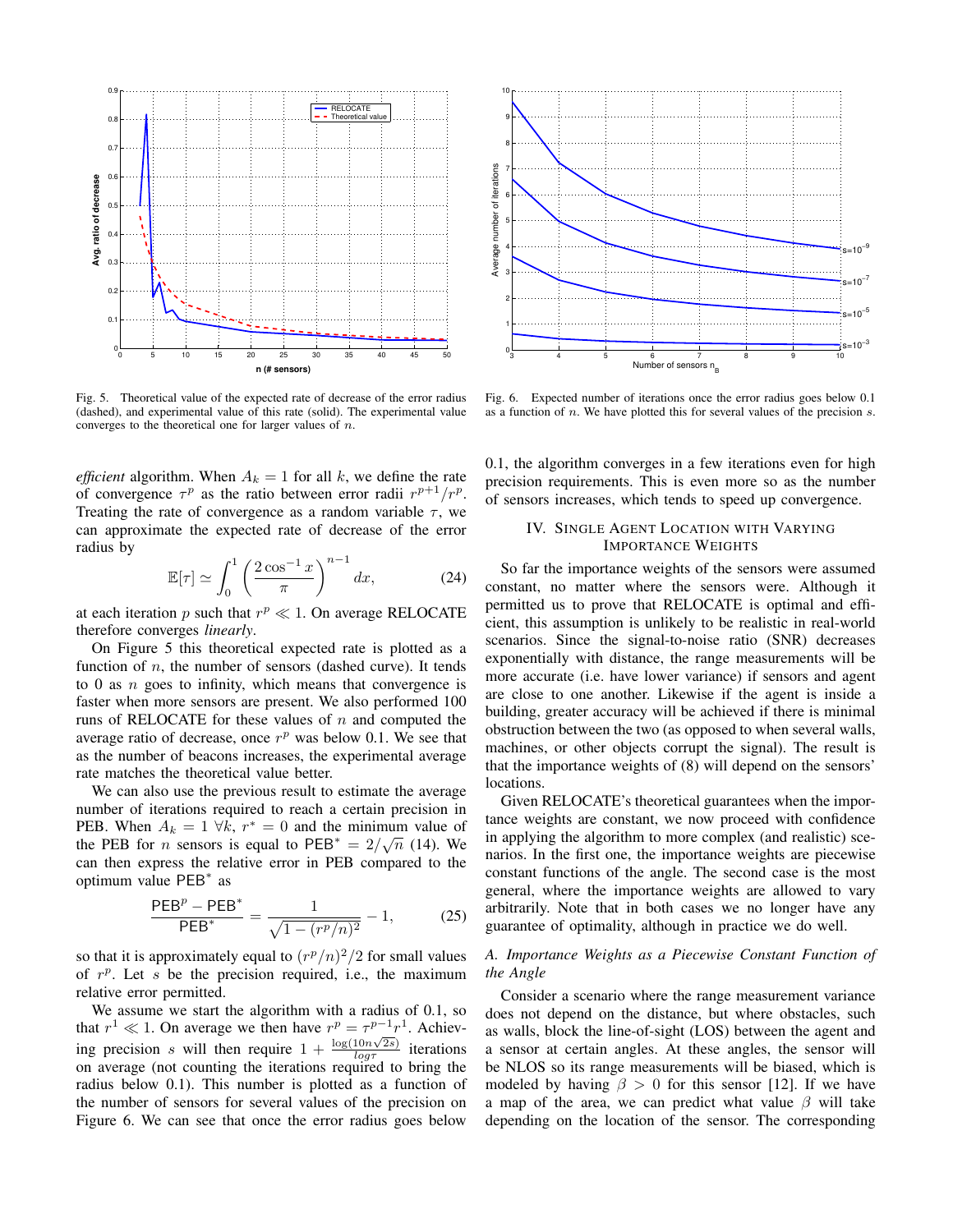

Fig. 5. Theoretical value of the expected rate of decrease of the error radius (dashed), and experimental value of this rate (solid). The experimental value converges to the theoretical one for larger values of  $n$ .

*efficient* algorithm. When  $A_k = 1$  for all k, we define the rate of convergence  $\tau^p$  as the ratio between error radii  $r^{p+1}/r^p$ . Treating the rate of convergence as a random variable  $\tau$ , we can approximate the expected rate of decrease of the error radius by

$$
\mathbb{E}[\tau] \simeq \int_0^1 \left(\frac{2\cos^{-1}x}{\pi}\right)^{n-1} dx,\tag{24}
$$

at each iteration p such that  $r^p \ll 1$ . On average RELOCATE therefore converges *linearly*.

On Figure 5 this theoretical expected rate is plotted as a function of  $n$ , the number of sensors (dashed curve). It tends to  $0$  as  $n$  goes to infinity, which means that convergence is faster when more sensors are present. We also performed 100 runs of RELOCATE for these values of  $n$  and computed the average ratio of decrease, once  $r^p$  was below 0.1. We see that as the number of beacons increases, the experimental average rate matches the theoretical value better.

We can also use the previous result to estimate the average number of iterations required to reach a certain precision in PEB. When  $A_k = 1 \forall k, r^* = 0$  and the minimum value of the PEB for *n* sensors is equal to PEB<sup>\*</sup> =  $2/\sqrt{n}$  (14). We can then express the relative error in PEB compared to the optimum value PEB<sup>∗</sup> as

$$
\frac{\text{PEB}^p - \text{PEB}^*}{\text{PEB}^*} = \frac{1}{\sqrt{1 - (r^p/n)^2}} - 1,\tag{25}
$$

so that it is approximately equal to  $(r^p/n)^2/2$  for small values of  $r^p$ . Let s be the precision required, i.e., the maximum relative error permitted.

We assume we start the algorithm with a radius of 0.1, so that  $r^1 \ll 1$ . On average we then have  $r^p = \tau^{p-1} r^1$ . Achieving precision s will then require  $1 + \frac{\log(10n\sqrt{2s})}{\log r}$  $\frac{10n\sqrt{2s}}{\log \tau}$  iterations on average (not counting the iterations required to bring the radius below 0.1). This number is plotted as a function of the number of sensors for several values of the precision on Figure 6. We can see that once the error radius goes below



Fig. 6. Expected number of iterations once the error radius goes below 0.1 as a function of  $n$ . We have plotted this for several values of the precision  $s$ .

0.1, the algorithm converges in a few iterations even for high precision requirements. This is even more so as the number of sensors increases, which tends to speed up convergence.

# IV. SINGLE AGENT LOCATION WITH VARYING IMPORTANCE WEIGHTS

So far the importance weights of the sensors were assumed constant, no matter where the sensors were. Although it permitted us to prove that RELOCATE is optimal and efficient, this assumption is unlikely to be realistic in real-world scenarios. Since the signal-to-noise ratio (SNR) decreases exponentially with distance, the range measurements will be more accurate (i.e. have lower variance) if sensors and agent are close to one another. Likewise if the agent is inside a building, greater accuracy will be achieved if there is minimal obstruction between the two (as opposed to when several walls, machines, or other objects corrupt the signal). The result is that the importance weights of (8) will depend on the sensors' locations.

Given RELOCATE's theoretical guarantees when the importance weights are constant, we now proceed with confidence in applying the algorithm to more complex (and realistic) scenarios. In the first one, the importance weights are piecewise constant functions of the angle. The second case is the most general, where the importance weights are allowed to vary arbitrarily. Note that in both cases we no longer have any guarantee of optimality, although in practice we do well.

## *A. Importance Weights as a Piecewise Constant Function of the Angle*

Consider a scenario where the range measurement variance does not depend on the distance, but where obstacles, such as walls, block the line-of-sight (LOS) between the agent and a sensor at certain angles. At these angles, the sensor will be NLOS so its range measurements will be biased, which is modeled by having  $\beta > 0$  for this sensor [12]. If we have a map of the area, we can predict what value  $\beta$  will take depending on the location of the sensor. The corresponding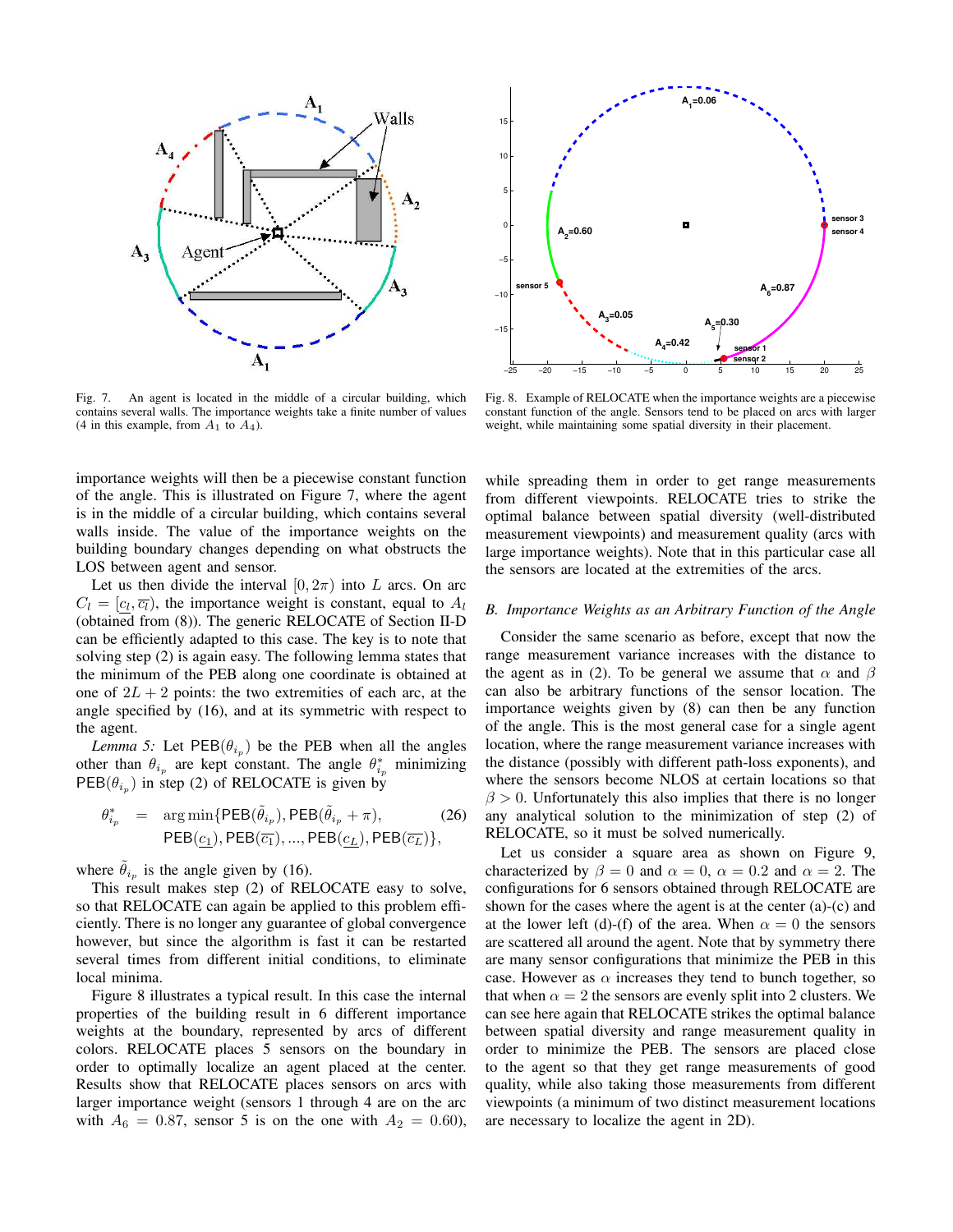

Fig. 7. An agent is located in the middle of a circular building, which contains several walls. The importance weights take a finite number of values (4 in this example, from  $A_1$  to  $A_4$ ).

importance weights will then be a piecewise constant function of the angle. This is illustrated on Figure 7, where the agent is in the middle of a circular building, which contains several walls inside. The value of the importance weights on the building boundary changes depending on what obstructs the LOS between agent and sensor.

Let us then divide the interval  $[0, 2\pi)$  into L arcs. On arc  $C_l = [c_l, \overline{c_l})$ , the importance weight is constant, equal to  $A_l$ (obtained from (8)). The generic RELOCATE of Section II-D can be efficiently adapted to this case. The key is to note that solving step (2) is again easy. The following lemma states that the minimum of the PEB along one coordinate is obtained at one of  $2L + 2$  points: the two extremities of each arc, at the angle specified by (16), and at its symmetric with respect to the agent.

*Lemma* 5: Let  $PEB(\theta_{i_p})$  be the PEB when all the angles other than  $\theta_{i_p}$  are kept constant. The angle  $\theta_{i_p}^*$  minimizing  $\text{PEB}(\theta_{i_p})$  in step (2) of RELOCATE is given by

$$
\theta_{i_p}^* = \arg\min\{\text{PEB}(\tilde{\theta}_{i_p}), \text{PEB}(\tilde{\theta}_{i_p} + \pi),
$$
\n
$$
\text{PEB}(\underline{c_1}), \text{PEB}(\overline{c_1}), ..., \text{PEB}(\underline{c_L}), \text{PEB}(\overline{c_L})\},
$$
\n(26)

where  $\tilde{\theta}_{i_p}$  is the angle given by (16).

This result makes step (2) of RELOCATE easy to solve, so that RELOCATE can again be applied to this problem efficiently. There is no longer any guarantee of global convergence however, but since the algorithm is fast it can be restarted several times from different initial conditions, to eliminate local minima.

Figure 8 illustrates a typical result. In this case the internal properties of the building result in 6 different importance weights at the boundary, represented by arcs of different colors. RELOCATE places 5 sensors on the boundary in order to optimally localize an agent placed at the center. Results show that RELOCATE places sensors on arcs with larger importance weight (sensors 1 through 4 are on the arc with  $A_6 = 0.87$ , sensor 5 is on the one with  $A_2 = 0.60$ ),



Fig. 8. Example of RELOCATE when the importance weights are a piecewise constant function of the angle. Sensors tend to be placed on arcs with larger weight, while maintaining some spatial diversity in their placement.

while spreading them in order to get range measurements from different viewpoints. RELOCATE tries to strike the optimal balance between spatial diversity (well-distributed measurement viewpoints) and measurement quality (arcs with large importance weights). Note that in this particular case all the sensors are located at the extremities of the arcs.

#### *B. Importance Weights as an Arbitrary Function of the Angle*

Consider the same scenario as before, except that now the range measurement variance increases with the distance to the agent as in (2). To be general we assume that  $\alpha$  and  $\beta$ can also be arbitrary functions of the sensor location. The importance weights given by (8) can then be any function of the angle. This is the most general case for a single agent location, where the range measurement variance increases with the distance (possibly with different path-loss exponents), and where the sensors become NLOS at certain locations so that  $\beta$  > 0. Unfortunately this also implies that there is no longer any analytical solution to the minimization of step (2) of RELOCATE, so it must be solved numerically.

Let us consider a square area as shown on Figure 9, characterized by  $\beta = 0$  and  $\alpha = 0$ ,  $\alpha = 0.2$  and  $\alpha = 2$ . The configurations for 6 sensors obtained through RELOCATE are shown for the cases where the agent is at the center (a)-(c) and at the lower left (d)-(f) of the area. When  $\alpha = 0$  the sensors are scattered all around the agent. Note that by symmetry there are many sensor configurations that minimize the PEB in this case. However as  $\alpha$  increases they tend to bunch together, so that when  $\alpha = 2$  the sensors are evenly split into 2 clusters. We can see here again that RELOCATE strikes the optimal balance between spatial diversity and range measurement quality in order to minimize the PEB. The sensors are placed close to the agent so that they get range measurements of good quality, while also taking those measurements from different viewpoints (a minimum of two distinct measurement locations are necessary to localize the agent in 2D).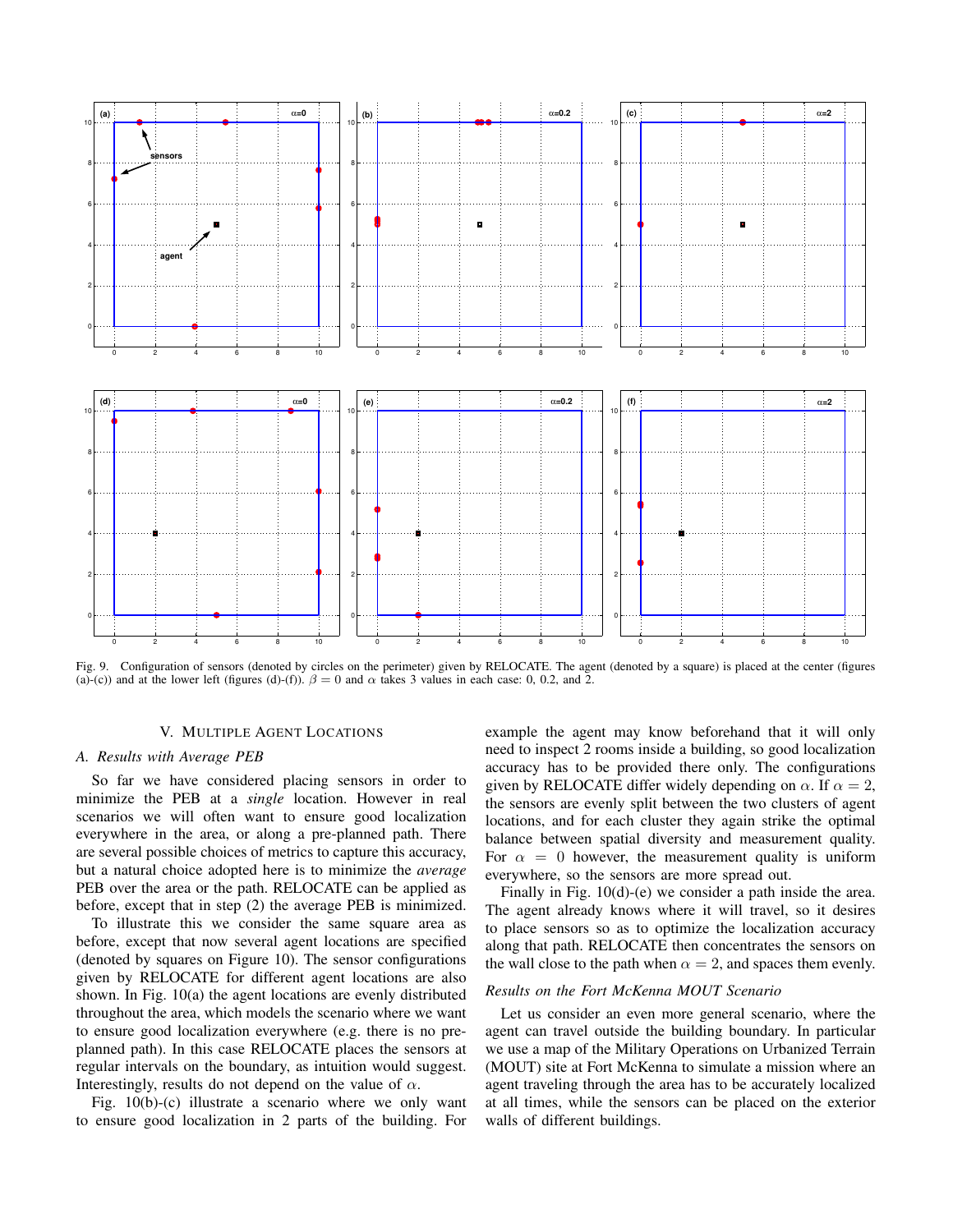

Fig. 9. Configuration of sensors (denoted by circles on the perimeter) given by RELOCATE. The agent (denoted by a square) is placed at the center (figures (a)-(c)) and at the lower left (figures (d)-(f)).  $\beta = 0$  and  $\alpha$  takes 3 values in each case: 0, 0.2, and 2.

## V. MULTIPLE AGENT LOCATIONS

## *A. Results with Average PEB*

So far we have considered placing sensors in order to minimize the PEB at a *single* location. However in real scenarios we will often want to ensure good localization everywhere in the area, or along a pre-planned path. There are several possible choices of metrics to capture this accuracy, but a natural choice adopted here is to minimize the *average* PEB over the area or the path. RELOCATE can be applied as before, except that in step (2) the average PEB is minimized.

To illustrate this we consider the same square area as before, except that now several agent locations are specified (denoted by squares on Figure 10). The sensor configurations given by RELOCATE for different agent locations are also shown. In Fig. 10(a) the agent locations are evenly distributed throughout the area, which models the scenario where we want to ensure good localization everywhere (e.g. there is no preplanned path). In this case RELOCATE places the sensors at regular intervals on the boundary, as intuition would suggest. Interestingly, results do not depend on the value of  $\alpha$ .

Fig. 10(b)-(c) illustrate a scenario where we only want to ensure good localization in 2 parts of the building. For example the agent may know beforehand that it will only need to inspect 2 rooms inside a building, so good localization accuracy has to be provided there only. The configurations given by RELOCATE differ widely depending on  $\alpha$ . If  $\alpha = 2$ , the sensors are evenly split between the two clusters of agent locations, and for each cluster they again strike the optimal balance between spatial diversity and measurement quality. For  $\alpha = 0$  however, the measurement quality is uniform everywhere, so the sensors are more spread out.

Finally in Fig. 10(d)-(e) we consider a path inside the area. The agent already knows where it will travel, so it desires to place sensors so as to optimize the localization accuracy along that path. RELOCATE then concentrates the sensors on the wall close to the path when  $\alpha = 2$ , and spaces them evenly.

## *Results on the Fort McKenna MOUT Scenario*

Let us consider an even more general scenario, where the agent can travel outside the building boundary. In particular we use a map of the Military Operations on Urbanized Terrain (MOUT) site at Fort McKenna to simulate a mission where an agent traveling through the area has to be accurately localized at all times, while the sensors can be placed on the exterior walls of different buildings.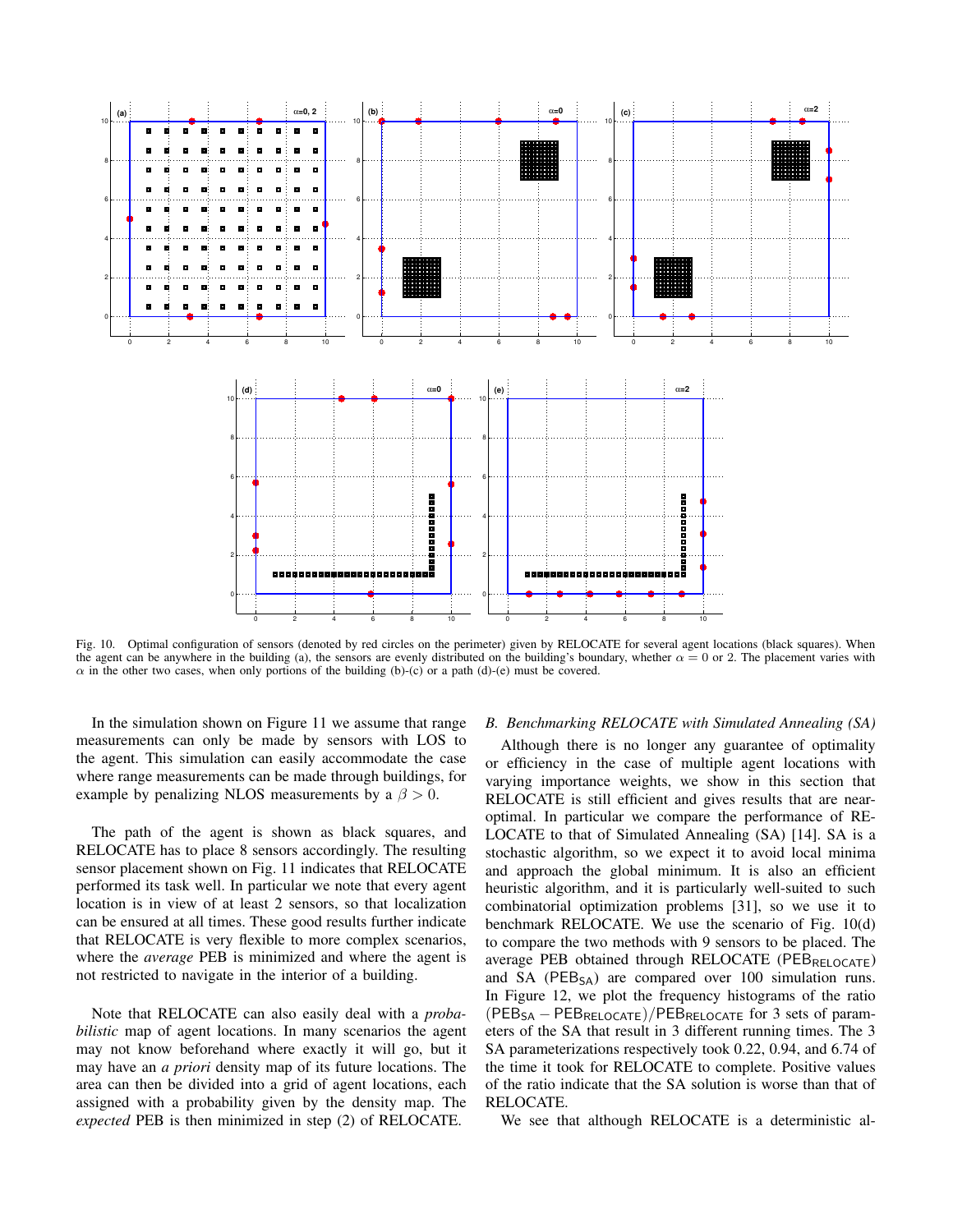

Fig. 10. Optimal configuration of sensors (denoted by red circles on the perimeter) given by RELOCATE for several agent locations (black squares). When the agent can be anywhere in the building (a), the sensors are evenly distributed on the building's boundary, whether  $\alpha = 0$  or 2. The placement varies with  $\alpha$  in the other two cases, when only portions of the building (b)-(c) or a path (d)-(e) must be covered.

In the simulation shown on Figure 11 we assume that range measurements can only be made by sensors with LOS to the agent. This simulation can easily accommodate the case where range measurements can be made through buildings, for example by penalizing NLOS measurements by a  $\beta > 0$ .

The path of the agent is shown as black squares, and RELOCATE has to place 8 sensors accordingly. The resulting sensor placement shown on Fig. 11 indicates that RELOCATE performed its task well. In particular we note that every agent location is in view of at least 2 sensors, so that localization can be ensured at all times. These good results further indicate that RELOCATE is very flexible to more complex scenarios, where the *average* PEB is minimized and where the agent is not restricted to navigate in the interior of a building.

Note that RELOCATE can also easily deal with a *probabilistic* map of agent locations. In many scenarios the agent may not know beforehand where exactly it will go, but it may have an *a priori* density map of its future locations. The area can then be divided into a grid of agent locations, each assigned with a probability given by the density map. The *expected* PEB is then minimized in step (2) of RELOCATE.

## *B. Benchmarking RELOCATE with Simulated Annealing (SA)*

Although there is no longer any guarantee of optimality or efficiency in the case of multiple agent locations with varying importance weights, we show in this section that RELOCATE is still efficient and gives results that are nearoptimal. In particular we compare the performance of RE-LOCATE to that of Simulated Annealing (SA) [14]. SA is a stochastic algorithm, so we expect it to avoid local minima and approach the global minimum. It is also an efficient heuristic algorithm, and it is particularly well-suited to such combinatorial optimization problems [31], so we use it to benchmark RELOCATE. We use the scenario of Fig. 10(d) to compare the two methods with 9 sensors to be placed. The average PEB obtained through RELOCATE (PEB<sub>RELOCATE</sub>) and SA ( $PEB<sub>SA</sub>$ ) are compared over 100 simulation runs. In Figure 12, we plot the frequency histograms of the ratio  $(PEB<sub>SA</sub> - PEB<sub>RELOCATE</sub>)/PEB<sub>RELOCATE</sub>$  for 3 sets of parameters of the SA that result in 3 different running times. The 3 SA parameterizations respectively took 0.22, 0.94, and 6.74 of the time it took for RELOCATE to complete. Positive values of the ratio indicate that the SA solution is worse than that of RELOCATE.

We see that although RELOCATE is a deterministic al-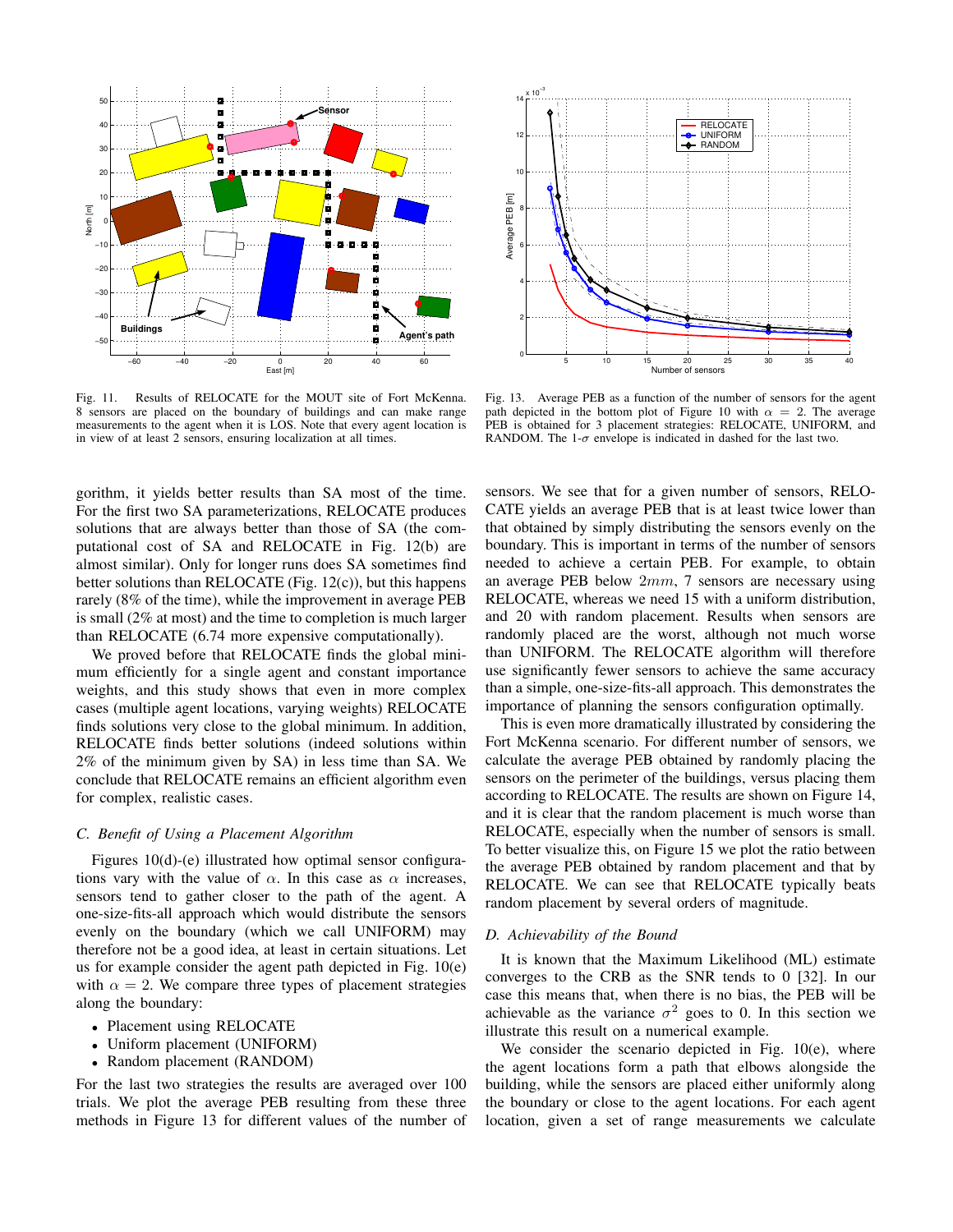

Fig. 11. Results of RELOCATE for the MOUT site of Fort McKenna. 8 sensors are placed on the boundary of buildings and can make range measurements to the agent when it is LOS. Note that every agent location is in view of at least 2 sensors, ensuring localization at all times.

gorithm, it yields better results than SA most of the time. For the first two SA parameterizations, RELOCATE produces solutions that are always better than those of SA (the computational cost of SA and RELOCATE in Fig. 12(b) are almost similar). Only for longer runs does SA sometimes find better solutions than RELOCATE (Fig. 12(c)), but this happens rarely (8% of the time), while the improvement in average PEB is small (2% at most) and the time to completion is much larger than RELOCATE (6.74 more expensive computationally).

We proved before that RELOCATE finds the global minimum efficiently for a single agent and constant importance weights, and this study shows that even in more complex cases (multiple agent locations, varying weights) RELOCATE finds solutions very close to the global minimum. In addition, RELOCATE finds better solutions (indeed solutions within 2% of the minimum given by SA) in less time than SA. We conclude that RELOCATE remains an efficient algorithm even for complex, realistic cases.

## *C. Benefit of Using a Placement Algorithm*

Figures 10(d)-(e) illustrated how optimal sensor configurations vary with the value of  $\alpha$ . In this case as  $\alpha$  increases, sensors tend to gather closer to the path of the agent. A one-size-fits-all approach which would distribute the sensors evenly on the boundary (which we call UNIFORM) may therefore not be a good idea, at least in certain situations. Let us for example consider the agent path depicted in Fig. 10(e) with  $\alpha = 2$ . We compare three types of placement strategies along the boundary:

- Placement using RELOCATE
- Uniform placement (UNIFORM)
- Random placement (RANDOM)

For the last two strategies the results are averaged over 100 trials. We plot the average PEB resulting from these three methods in Figure 13 for different values of the number of



Fig. 13. Average PEB as a function of the number of sensors for the agent path depicted in the bottom plot of Figure 10 with  $\alpha = 2$ . The average PEB is obtained for 3 placement strategies: RELOCATE, UNIFORM, and RANDOM. The 1- $\sigma$  envelope is indicated in dashed for the last two.

sensors. We see that for a given number of sensors, RELO-CATE yields an average PEB that is at least twice lower than that obtained by simply distributing the sensors evenly on the boundary. This is important in terms of the number of sensors needed to achieve a certain PEB. For example, to obtain an average PEB below 2mm, 7 sensors are necessary using RELOCATE, whereas we need 15 with a uniform distribution, and 20 with random placement. Results when sensors are randomly placed are the worst, although not much worse than UNIFORM. The RELOCATE algorithm will therefore use significantly fewer sensors to achieve the same accuracy than a simple, one-size-fits-all approach. This demonstrates the importance of planning the sensors configuration optimally.

This is even more dramatically illustrated by considering the Fort McKenna scenario. For different number of sensors, we calculate the average PEB obtained by randomly placing the sensors on the perimeter of the buildings, versus placing them according to RELOCATE. The results are shown on Figure 14, and it is clear that the random placement is much worse than RELOCATE, especially when the number of sensors is small. To better visualize this, on Figure 15 we plot the ratio between the average PEB obtained by random placement and that by RELOCATE. We can see that RELOCATE typically beats random placement by several orders of magnitude.

#### *D. Achievability of the Bound*

It is known that the Maximum Likelihood (ML) estimate converges to the CRB as the SNR tends to 0 [32]. In our case this means that, when there is no bias, the PEB will be achievable as the variance  $\sigma^2$  goes to 0. In this section we illustrate this result on a numerical example.

We consider the scenario depicted in Fig. 10(e), where the agent locations form a path that elbows alongside the building, while the sensors are placed either uniformly along the boundary or close to the agent locations. For each agent location, given a set of range measurements we calculate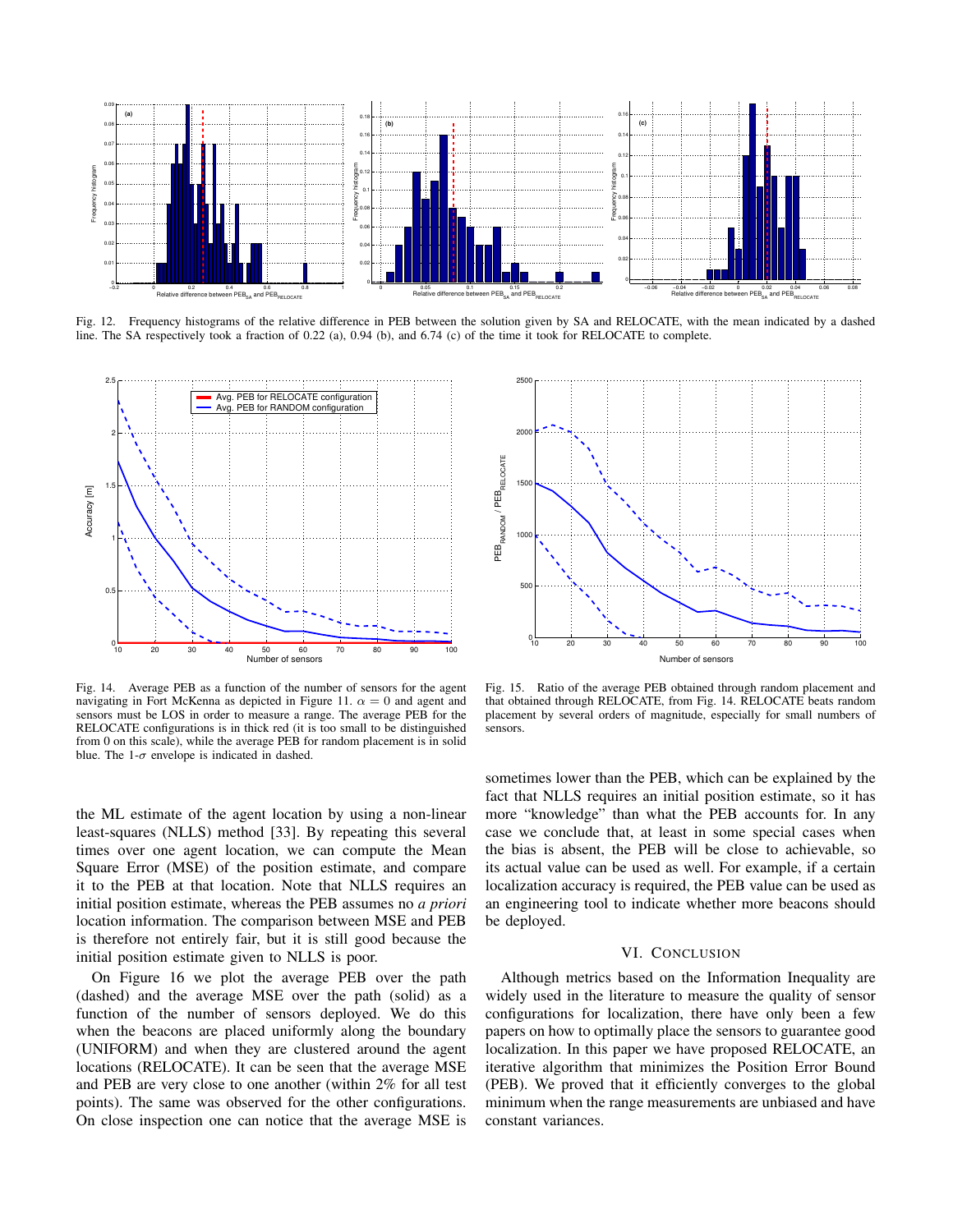

Fig. 12. Frequency histograms of the relative difference in PEB between the solution given by SA and RELOCATE, with the mean indicated by a dashed line. The SA respectively took a fraction of 0.22 (a), 0.94 (b), and 6.74 (c) of the time it took for RELOCATE to complete.



Fig. 14. Average PEB as a function of the number of sensors for the agent navigating in Fort McKenna as depicted in Figure 11.  $\alpha = 0$  and agent and sensors must be LOS in order to measure a range. The average PEB for the RELOCATE configurations is in thick red (it is too small to be distinguished from 0 on this scale), while the average PEB for random placement is in solid blue. The 1- $\sigma$  envelope is indicated in dashed.

the ML estimate of the agent location by using a non-linear least-squares (NLLS) method [33]. By repeating this several times over one agent location, we can compute the Mean Square Error (MSE) of the position estimate, and compare it to the PEB at that location. Note that NLLS requires an initial position estimate, whereas the PEB assumes no *a priori* location information. The comparison between MSE and PEB is therefore not entirely fair, but it is still good because the initial position estimate given to NLLS is poor.

On Figure 16 we plot the average PEB over the path (dashed) and the average MSE over the path (solid) as a function of the number of sensors deployed. We do this when the beacons are placed uniformly along the boundary (UNIFORM) and when they are clustered around the agent locations (RELOCATE). It can be seen that the average MSE and PEB are very close to one another (within 2% for all test points). The same was observed for the other configurations. On close inspection one can notice that the average MSE is



Fig. 15. Ratio of the average PEB obtained through random placement and that obtained through RELOCATE, from Fig. 14. RELOCATE beats random placement by several orders of magnitude, especially for small numbers of sensors.

sometimes lower than the PEB, which can be explained by the fact that NLLS requires an initial position estimate, so it has more "knowledge" than what the PEB accounts for. In any case we conclude that, at least in some special cases when the bias is absent, the PEB will be close to achievable, so its actual value can be used as well. For example, if a certain localization accuracy is required, the PEB value can be used as an engineering tool to indicate whether more beacons should be deployed.

## VI. CONCLUSION

Although metrics based on the Information Inequality are widely used in the literature to measure the quality of sensor configurations for localization, there have only been a few papers on how to optimally place the sensors to guarantee good localization. In this paper we have proposed RELOCATE, an iterative algorithm that minimizes the Position Error Bound (PEB). We proved that it efficiently converges to the global minimum when the range measurements are unbiased and have constant variances.